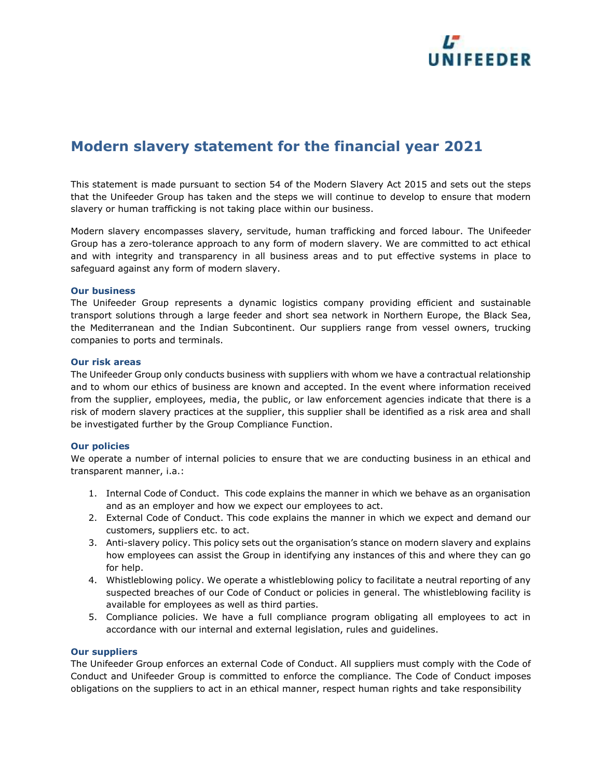

# **Modern slavery statement for the financial year 2021**

This statement is made pursuant to section 54 of the Modern Slavery Act 2015 and sets out the steps that the Unifeeder Group has taken and the steps we will continue to develop to ensure that modern slavery or human trafficking is not taking place within our business.

Modern slavery encompasses slavery, servitude, human trafficking and forced labour. The Unifeeder Group has a zero-tolerance approach to any form of modern slavery. We are committed to act ethical and with integrity and transparency in all business areas and to put effective systems in place to safeguard against any form of modern slavery.

# **Our business**

The Unifeeder Group represents a dynamic logistics company providing efficient and sustainable transport solutions through a large feeder and short sea network in Northern Europe, the Black Sea, the Mediterranean and the Indian Subcontinent. Our suppliers range from vessel owners, trucking companies to ports and terminals.

# **Our risk areas**

The Unifeeder Group only conducts business with suppliers with whom we have a contractual relationship and to whom our ethics of business are known and accepted. In the event where information received from the supplier, employees, media, the public, or law enforcement agencies indicate that there is a risk of modern slavery practices at the supplier, this supplier shall be identified as a risk area and shall be investigated further by the Group Compliance Function.

# **Our policies**

We operate a number of internal policies to ensure that we are conducting business in an ethical and transparent manner, i.a.:

- 1. Internal Code of Conduct. This code explains the manner in which we behave as an organisation and as an employer and how we expect our employees to act.
- 2. External Code of Conduct. This code explains the manner in which we expect and demand our customers, suppliers etc. to act.
- 3. Anti-slavery policy. This policy sets out the organisation's stance on modern slavery and explains how employees can assist the Group in identifying any instances of this and where they can go for help.
- 4. Whistleblowing policy. We operate a whistleblowing policy to facilitate a neutral reporting of any suspected breaches of our Code of Conduct or policies in general. The whistleblowing facility is available for employees as well as third parties.
- 5. Compliance policies. We have a full compliance program obligating all employees to act in accordance with our internal and external legislation, rules and guidelines.

#### **Our suppliers**

The Unifeeder Group enforces an external Code of Conduct. All suppliers must comply with the Code of Conduct and Unifeeder Group is committed to enforce the compliance. The Code of Conduct imposes obligations on the suppliers to act in an ethical manner, respect human rights and take responsibility